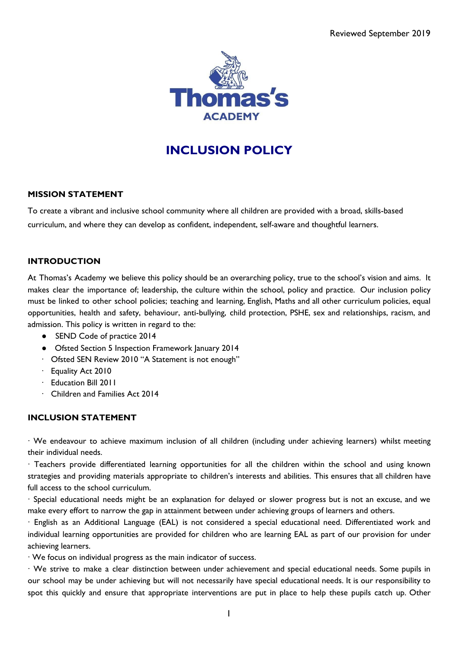

# **INCLUSION POLICY**

# **MISSION STATEMENT**

To create a vibrant and inclusive school community where all children are provided with a broad, skills-based curriculum, and where they can develop as confident, independent, self-aware and thoughtful learners.

# **INTRODUCTION**

At Thomas's Academy we believe this policy should be an overarching policy, true to the school's vision and aims. It makes clear the importance of; leadership, the culture within the school, policy and practice. Our inclusion policy must be linked to other school policies; teaching and learning, English, Maths and all other curriculum policies, equal opportunities, health and safety, behaviour, anti-bullying, child protection, PSHE, sex and relationships, racism, and admission. This policy is written in regard to the:

- SEND Code of practice 2014
- Ofsted Section 5 Inspection Framework January 2014
- · Ofsted SEN Review 2010 "A Statement is not enough"
- · Equality Act 2010
- · Education Bill 2011
- · Children and Families Act 2014

#### **INCLUSION STATEMENT**

· We endeavour to achieve maximum inclusion of all children (including under achieving learners) whilst meeting their individual needs.

· Teachers provide differentiated learning opportunities for all the children within the school and using known strategies and providing materials appropriate to children's interests and abilities. This ensures that all children have full access to the school curriculum.

· Special educational needs might be an explanation for delayed or slower progress but is not an excuse, and we make every effort to narrow the gap in attainment between under achieving groups of learners and others.

· English as an Additional Language (EAL) is not considered a special educational need. Differentiated work and individual learning opportunities are provided for children who are learning EAL as part of our provision for under achieving learners.

· We focus on individual progress as the main indicator of success.

· We strive to make a clear distinction between under achievement and special educational needs. Some pupils in our school may be under achieving but will not necessarily have special educational needs. It is our responsibility to spot this quickly and ensure that appropriate interventions are put in place to help these pupils catch up. Other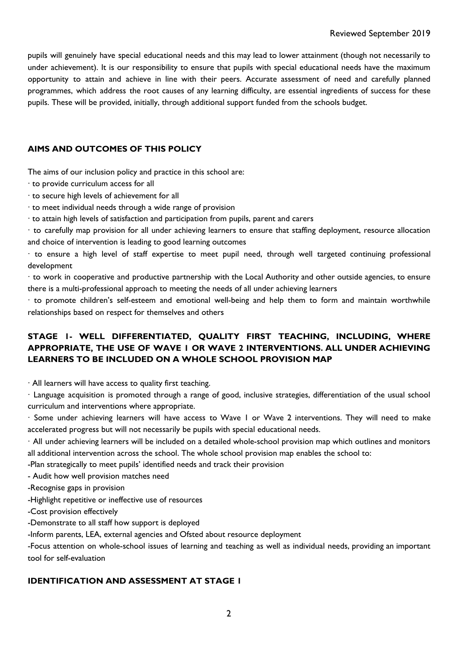pupils will genuinely have special educational needs and this may lead to lower attainment (though not necessarily to under achievement). It is our responsibility to ensure that pupils with special educational needs have the maximum opportunity to attain and achieve in line with their peers. Accurate assessment of need and carefully planned programmes, which address the root causes of any learning difficulty, are essential ingredients of success for these pupils. These will be provided, initially, through additional support funded from the schools budget.

#### **AIMS AND OUTCOMES OF THIS POLICY**

The aims of our inclusion policy and practice in this school are:

- · to provide curriculum access for all
- · to secure high levels of achievement for all
- · to meet individual needs through a wide range of provision
- · to attain high levels of satisfaction and participation from pupils, parent and carers

· to carefully map provision for all under achieving learners to ensure that staffing deployment, resource allocation and choice of intervention is leading to good learning outcomes

· to ensure a high level of staff expertise to meet pupil need, through well targeted continuing professional development

· to work in cooperative and productive partnership with the Local Authority and other outside agencies, to ensure there is a multi-professional approach to meeting the needs of all under achieving learners

· to promote children's self-esteem and emotional well-being and help them to form and maintain worthwhile relationships based on respect for themselves and others

# **STAGE 1- WELL DIFFERENTIATED, QUALITY FIRST TEACHING, INCLUDING, WHERE APPROPRIATE, THE USE OF WAVE 1 OR WAVE 2 INTERVENTIONS. ALL UNDER ACHIEVING LEARNERS TO BE INCLUDED ON A WHOLE SCHOOL PROVISION MAP**

· All learners will have access to quality first teaching.

· Language acquisition is promoted through a range of good, inclusive strategies, differentiation of the usual school curriculum and interventions where appropriate.

· Some under achieving learners will have access to Wave 1 or Wave 2 interventions. They will need to make accelerated progress but will not necessarily be pupils with special educational needs.

· All under achieving learners will be included on a detailed whole-school provision map which outlines and monitors all additional intervention across the school. The whole school provision map enables the school to:

-Plan strategically to meet pupils' identified needs and track their provision

- Audit how well provision matches need

-Recognise gaps in provision

-Highlight repetitive or ineffective use of resources

-Cost provision effectively

-Demonstrate to all staff how support is deployed

-Inform parents, LEA, external agencies and Ofsted about resource deployment

-Focus attention on whole-school issues of learning and teaching as well as individual needs, providing an important tool for self-evaluation

#### **IDENTIFICATION AND ASSESSMENT AT STAGE 1**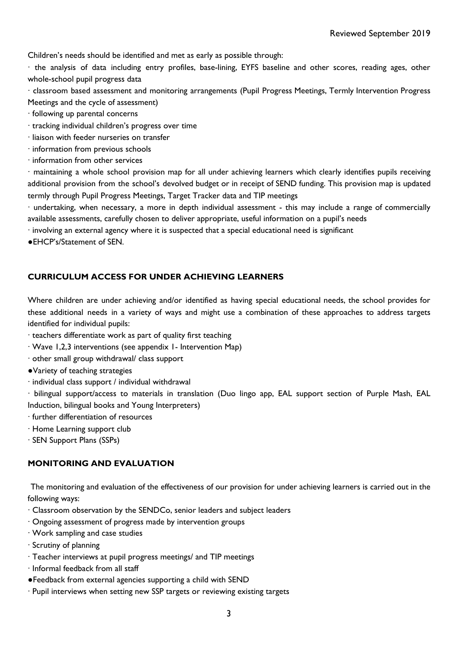Children's needs should be identified and met as early as possible through:

· the analysis of data including entry profiles, base-lining, EYFS baseline and other scores, reading ages, other whole-school pupil progress data

· classroom based assessment and monitoring arrangements (Pupil Progress Meetings, Termly Intervention Progress Meetings and the cycle of assessment)

- · following up parental concerns
- · tracking individual children's progress over time
- · liaison with feeder nurseries on transfer
- · information from previous schools
- · information from other services

· maintaining a whole school provision map for all under achieving learners which clearly identifies pupils receiving additional provision from the school's devolved budget or in receipt of SEND funding. This provision map is updated termly through Pupil Progress Meetings, Target Tracker data and TIP meetings

· undertaking, when necessary, a more in depth individual assessment - this may include a range of commercially available assessments, carefully chosen to deliver appropriate, useful information on a pupil's needs

· involving an external agency where it is suspected that a special educational need is significant

●EHCP's/Statement of SEN.

# **CURRICULUM ACCESS FOR UNDER ACHIEVING LEARNERS**

Where children are under achieving and/or identified as having special educational needs, the school provides for these additional needs in a variety of ways and might use a combination of these approaches to address targets identified for individual pupils:

· teachers differentiate work as part of quality first teaching

- · Wave 1,2,3 interventions (see appendix 1- Intervention Map)
- · other small group withdrawal/ class support
- ●Variety of teaching strategies
- · individual class support / individual withdrawal

· bilingual support/access to materials in translation (Duo lingo app, EAL support section of Purple Mash, EAL Induction, bilingual books and Young Interpreters)

- · further differentiation of resources
- · Home Learning support club
- · SEN Support Plans (SSPs)

# **MONITORING AND EVALUATION**

The monitoring and evaluation of the effectiveness of our provision for under achieving learners is carried out in the following ways:

- · Classroom observation by the SENDCo, senior leaders and subject leaders
- · Ongoing assessment of progress made by intervention groups
- · Work sampling and case studies
- · Scrutiny of planning
- · Teacher interviews at pupil progress meetings/ and TIP meetings
- · Informal feedback from all staff
- ●Feedback from external agencies supporting a child with SEND
- · Pupil interviews when setting new SSP targets or reviewing existing targets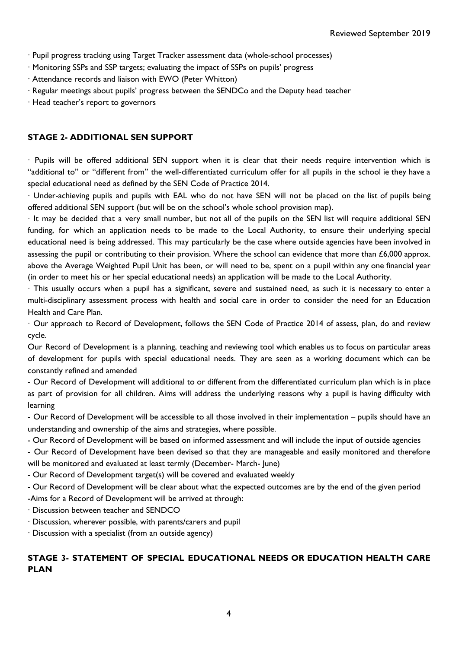- · Pupil progress tracking using Target Tracker assessment data (whole-school processes)
- · Monitoring SSPs and SSP targets; evaluating the impact of SSPs on pupils' progress
- · Attendance records and liaison with EWO (Peter Whitton)
- · Regular meetings about pupils' progress between the SENDCo and the Deputy head teacher

· Head teacher's report to governors

#### **STAGE 2- ADDITIONAL SEN SUPPORT**

· Pupils will be offered additional SEN support when it is clear that their needs require intervention which is "additional to" or "different from" the well-differentiated curriculum offer for all pupils in the school ie they have a special educational need as defined by the SEN Code of Practice 2014.

· Under-achieving pupils and pupils with EAL who do not have SEN will not be placed on the list of pupils being offered additional SEN support (but will be on the school's whole school provision map).

· It may be decided that a very small number, but not all of the pupils on the SEN list will require additional SEN funding, for which an application needs to be made to the Local Authority, to ensure their underlying special educational need is being addressed. This may particularly be the case where outside agencies have been involved in assessing the pupil or contributing to their provision. Where the school can evidence that more than  $£6,000$  approx. above the Average Weighted Pupil Unit has been, or will need to be, spent on a pupil within any one financial year (in order to meet his or her special educational needs) an application will be made to the Local Authority.

· This usually occurs when a pupil has a significant, severe and sustained need, as such it is necessary to enter a multi-disciplinary assessment process with health and social care in order to consider the need for an Education Health and Care Plan.

· Our approach to Record of Development, follows the SEN Code of Practice 2014 of assess, plan, do and review cycle.

Our Record of Development is a planning, teaching and reviewing tool which enables us to focus on particular areas of development for pupils with special educational needs. They are seen as a working document which can be constantly refined and amended

- Our Record of Development will additional to or different from the differentiated curriculum plan which is in place as part of provision for all children. Aims will address the underlying reasons why a pupil is having difficulty with learning

- Our Record of Development will be accessible to all those involved in their implementation – pupils should have an understanding and ownership of the aims and strategies, where possible.

- Our Record of Development will be based on informed assessment and will include the input of outside agencies

- Our Record of Development have been devised so that they are manageable and easily monitored and therefore will be monitored and evaluated at least termly (December- March- June)

- Our Record of Development target(s) will be covered and evaluated weekly

- Our Record of Development will be clear about what the expected outcomes are by the end of the given period

-Aims for a Record of Development will be arrived at through:

· Discussion between teacher and SENDCO

· Discussion, wherever possible, with parents/carers and pupil

· Discussion with a specialist (from an outside agency)

# **STAGE 3- STATEMENT OF SPECIAL EDUCATIONAL NEEDS OR EDUCATION HEALTH CARE PLAN**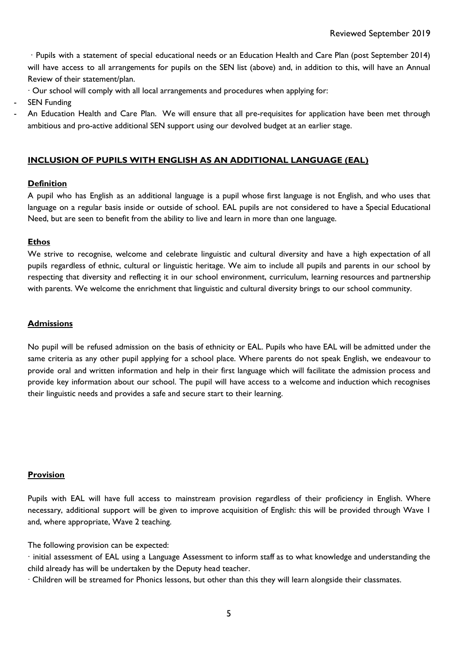· Pupils with a statement of special educational needs or an Education Health and Care Plan (post September 2014) will have access to all arrangements for pupils on the SEN list (above) and, in addition to this, will have an Annual Review of their statement/plan.

- · Our school will comply with all local arrangements and procedures when applying for:
- **SEN Funding**
- An Education Health and Care Plan. We will ensure that all pre-requisites for application have been met through ambitious and pro-active additional SEN support using our devolved budget at an earlier stage.

# **INCLUSION OF PUPILS WITH ENGLISH AS AN ADDITIONAL LANGUAGE (EAL)**

#### **Definition**

A pupil who has English as an additional language is a pupil whose first language is not English, and who uses that language on a regular basis inside or outside of school. EAL pupils are not considered to have a Special Educational Need, but are seen to benefit from the ability to live and learn in more than one language.

#### **Ethos**

We strive to recognise, welcome and celebrate linguistic and cultural diversity and have a high expectation of all pupils regardless of ethnic, cultural or linguistic heritage. We aim to include all pupils and parents in our school by respecting that diversity and reflecting it in our school environment, curriculum, learning resources and partnership with parents. We welcome the enrichment that linguistic and cultural diversity brings to our school community.

#### **Admissions**

No pupil will be refused admission on the basis of ethnicity or EAL. Pupils who have EAL will be admitted under the same criteria as any other pupil applying for a school place. Where parents do not speak English, we endeavour to provide oral and written information and help in their first language which will facilitate the admission process and provide key information about our school. The pupil will have access to a welcome and induction which recognises their linguistic needs and provides a safe and secure start to their learning.

#### **Provision**

Pupils with EAL will have full access to mainstream provision regardless of their proficiency in English. Where necessary, additional support will be given to improve acquisition of English: this will be provided through Wave 1 and, where appropriate, Wave 2 teaching.

The following provision can be expected:

· initial assessment of EAL using a Language Assessment to inform staff as to what knowledge and understanding the child already has will be undertaken by the Deputy head teacher.

· Children will be streamed for Phonics lessons, but other than this they will learn alongside their classmates.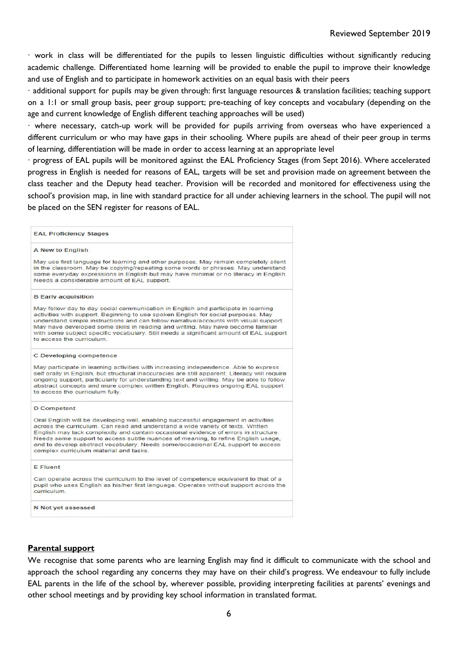· work in class will be differentiated for the pupils to lessen linguistic difficulties without significantly reducing academic challenge. Differentiated home learning will be provided to enable the pupil to improve their knowledge and use of English and to participate in homework activities on an equal basis with their peers

· additional support for pupils may be given through: first language resources & translation facilities; teaching support on a 1:1 or small group basis, peer group support; pre-teaching of key concepts and vocabulary (depending on the age and current knowledge of English different teaching approaches will be used)

· where necessary, catch-up work will be provided for pupils arriving from overseas who have experienced a different curriculum or who may have gaps in their schooling. Where pupils are ahead of their peer group in terms of learning, differentiation will be made in order to access learning at an appropriate level

· progress of EAL pupils will be monitored against the EAL Proficiency Stages (from Sept 2016). Where accelerated progress in English is needed for reasons of EAL, targets will be set and provision made on agreement between the class teacher and the Deputy head teacher. Provision will be recorded and monitored for effectiveness using the school's provision map, in line with standard practice for all under achieving learners in the school. The pupil will not be placed on the SEN register for reasons of EAL.

| <b>EAL Proficiency Stages</b>                                                                                                                                                                                                                                                                                                                                                                                                                                                 |
|-------------------------------------------------------------------------------------------------------------------------------------------------------------------------------------------------------------------------------------------------------------------------------------------------------------------------------------------------------------------------------------------------------------------------------------------------------------------------------|
| A New to English                                                                                                                                                                                                                                                                                                                                                                                                                                                              |
| May use first language for learning and other purposes. May remain completely silent<br>in the classroom. May be copying/repeating some words or phrases. May understand<br>some everyday expressions in English but may have minimal or no literacy in English.<br>Needs a considerable amount of EAL support.                                                                                                                                                               |
| <b>B</b> Early acquisition                                                                                                                                                                                                                                                                                                                                                                                                                                                    |
| May follow day to day social communication in English and participate in learning<br>activities with support. Beginning to use spoken English for social purposes. May<br>understand simple instructions and can follow narrative/accounts with visual support.<br>May have developed some skills in reading and writing. May have become familiar<br>with some subject specific vocabulary. Still needs a significant amount of EAL support<br>to access the curriculum      |
| C Developing competence                                                                                                                                                                                                                                                                                                                                                                                                                                                       |
| May participate in learning activities with increasing independence. Able to express<br>self orally in English, but structural inaccuracies are still apparent. Literacy will require<br>ongoing support, particularly for understanding text and writing. May be able to follow<br>abstract concepts and more complex written English. Requires ongoing EAL support<br>to access the curriculum fully.                                                                       |
| <b>D</b> Competent                                                                                                                                                                                                                                                                                                                                                                                                                                                            |
| Oral English will be developing well, enabling successful engagement in activities<br>across the curriculum. Can read and understand a wide variety of texts. Written<br>English may lack complexity and contain occasional evidence of errors in structure.<br>Needs some support to access subtle nuances of meaning, to refine English usage,<br>and to develop abstract vocabulary. Needs some/occasional EAL support to access<br>complex curriculum material and tasks. |
| E Fluent                                                                                                                                                                                                                                                                                                                                                                                                                                                                      |
| Can operate across the curriculum to the level of competence equivalent to that of a<br>pupil who uses English as his/her first language. Operates without support across the<br>curriculum.                                                                                                                                                                                                                                                                                  |
| N Not yet assessed                                                                                                                                                                                                                                                                                                                                                                                                                                                            |

#### **Parental support**

We recognise that some parents who are learning English may find it difficult to communicate with the school and approach the school regarding any concerns they may have on their child's progress. We endeavour to fully include EAL parents in the life of the school by, wherever possible, providing interpreting facilities at parents' evenings and other school meetings and by providing key school information in translated format.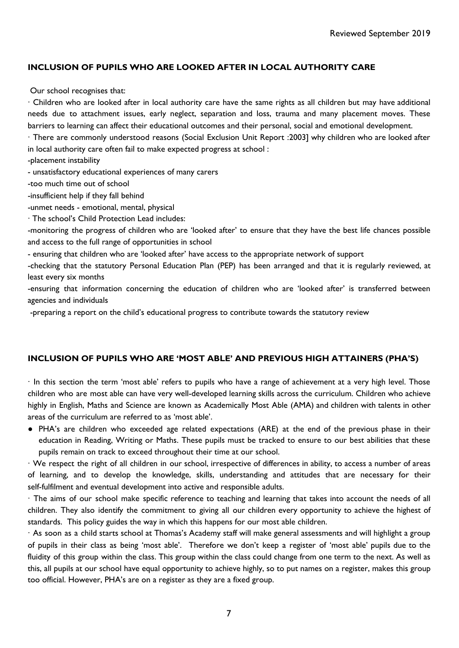## **INCLUSION OF PUPILS WHO ARE LOOKED AFTER IN LOCAL AUTHORITY CARE**

Our school recognises that:

· Children who are looked after in local authority care have the same rights as all children but may have additional needs due to attachment issues, early neglect, separation and loss, trauma and many placement moves. These barriers to learning can affect their educational outcomes and their personal, social and emotional development.

· There are commonly understood reasons (Social Exclusion Unit Report :2003] why children who are looked after in local authority care often fail to make expected progress at school :

-placement instability

- unsatisfactory educational experiences of many carers

- -too much time out of school
- -insufficient help if they fall behind
- -unmet needs emotional, mental, physical
- · The school's Child Protection Lead includes:

-monitoring the progress of children who are 'looked after' to ensure that they have the best life chances possible and access to the full range of opportunities in school

- ensuring that children who are 'looked after' have access to the appropriate network of support

-checking that the statutory Personal Education Plan (PEP) has been arranged and that it is regularly reviewed, at least every six months

-ensuring that information concerning the education of children who are 'looked after' is transferred between agencies and individuals

-preparing a report on the child's educational progress to contribute towards the statutory review

#### **INCLUSION OF PUPILS WHO ARE 'MOST ABLE' AND PREVIOUS HIGH ATTAINERS (PHA'S)**

· In this section the term 'most able' refers to pupils who have a range of achievement at a very high level. Those children who are most able can have very well-developed learning skills across the curriculum. Children who achieve highly in English, Maths and Science are known as Academically Most Able (AMA) and children with talents in other areas of the curriculum are referred to as 'most able'.

● PHA's are children who exceeded age related expectations (ARE) at the end of the previous phase in their education in Reading, Writing or Maths. These pupils must be tracked to ensure to our best abilities that these pupils remain on track to exceed throughout their time at our school.

· We respect the right of all children in our school, irrespective of differences in ability, to access a number of areas of learning, and to develop the knowledge, skills, understanding and attitudes that are necessary for their self-fulfilment and eventual development into active and responsible adults.

· The aims of our school make specific reference to teaching and learning that takes into account the needs of all children. They also identify the commitment to giving all our children every opportunity to achieve the highest of standards. This policy guides the way in which this happens for our most able children.

· As soon as a child starts school at Thomas's Academy staff will make general assessments and will highlight a group of pupils in their class as being 'most able'. Therefore we don't keep a register of 'most able' pupils due to the fluidity of this group within the class. This group within the class could change from one term to the next. As well as this, all pupils at our school have equal opportunity to achieve highly, so to put names on a register, makes this group too official. However, PHA's are on a register as they are a fixed group.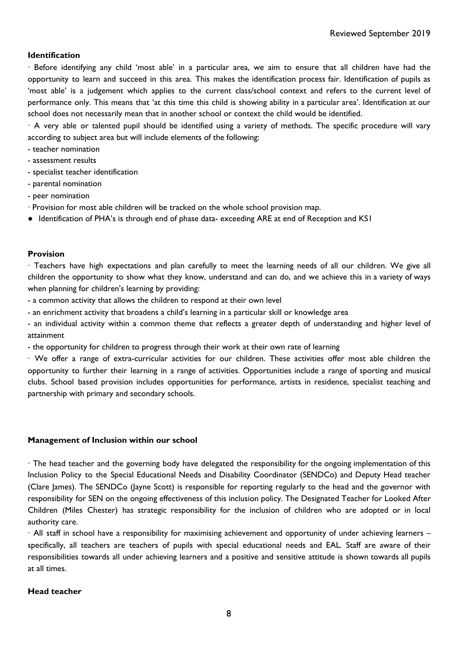#### **Identification**

· Before identifying any child 'most able' in a particular area, we aim to ensure that all children have had the opportunity to learn and succeed in this area. This makes the identification process fair. Identification of pupils as 'most able' is a judgement which applies to the current class/school context and refers to the current level of performance only. This means that 'at this time this child is showing ability in a particular area'. Identification at our school does not necessarily mean that in another school or context the child would be identified.

· A very able or talented pupil should be identified using a variety of methods. The specific procedure will vary according to subject area but will include elements of the following:

- teacher nomination
- assessment results
- specialist teacher identification
- parental nomination
- peer nomination
- · Provision for most able children will be tracked on the whole school provision map.
- Identification of PHA's is through end of phase data- exceeding ARE at end of Reception and KS1

#### **Provision**

· Teachers have high expectations and plan carefully to meet the learning needs of all our children. We give all children the opportunity to show what they know, understand and can do, and we achieve this in a variety of ways when planning for children's learning by providing:

- a common activity that allows the children to respond at their own level
- an enrichment activity that broadens a child's learning in a particular skill or knowledge area

- an individual activity within a common theme that reflects a greater depth of understanding and higher level of attainment

- the opportunity for children to progress through their work at their own rate of learning

· We offer a range of extra-curricular activities for our children. These activities offer most able children the opportunity to further their learning in a range of activities. Opportunities include a range of sporting and musical clubs. School based provision includes opportunities for performance, artists in residence, specialist teaching and partnership with primary and secondary schools.

#### **Management of Inclusion within our school**

· The head teacher and the governing body have delegated the responsibility for the ongoing implementation of this Inclusion Policy to the Special Educational Needs and Disability Coordinator (SENDCo) and Deputy Head teacher (Clare James). The SENDCo (Jayne Scott) is responsible for reporting regularly to the head and the governor with responsibility for SEN on the ongoing effectiveness of this inclusion policy. The Designated Teacher for Looked After Children (Miles Chester) has strategic responsibility for the inclusion of children who are adopted or in local authority care.

· All staff in school have a responsibility for maximising achievement and opportunity of under achieving learners – specifically, all teachers are teachers of pupils with special educational needs and EAL. Staff are aware of their responsibilities towards all under achieving learners and a positive and sensitive attitude is shown towards all pupils at all times.

#### **Head teacher**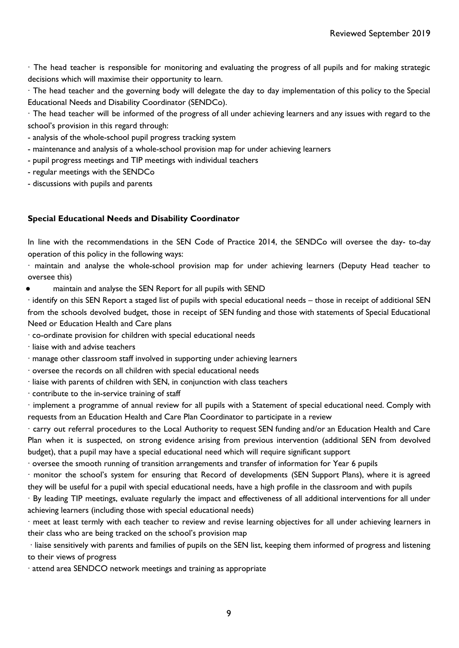· The head teacher is responsible for monitoring and evaluating the progress of all pupils and for making strategic decisions which will maximise their opportunity to learn.

· The head teacher and the governing body will delegate the day to day implementation of this policy to the Special Educational Needs and Disability Coordinator (SENDCo).

· The head teacher will be informed of the progress of all under achieving learners and any issues with regard to the school's provision in this regard through:

- analysis of the whole-school pupil progress tracking system
- maintenance and analysis of a whole-school provision map for under achieving learners
- pupil progress meetings and TIP meetings with individual teachers
- regular meetings with the SENDCo
- discussions with pupils and parents

#### **Special Educational Needs and Disability Coordinator**

In line with the recommendations in the SEN Code of Practice 2014, the SENDCo will oversee the day- to-day operation of this policy in the following ways:

· maintain and analyse the whole-school provision map for under achieving learners (Deputy Head teacher to oversee this)

maintain and analyse the SEN Report for all pupils with SEND

· identify on this SEN Report a staged list of pupils with special educational needs – those in receipt of additional SEN from the schools devolved budget, those in receipt of SEN funding and those with statements of Special Educational Need or Education Health and Care plans

- · co-ordinate provision for children with special educational needs
- · liaise with and advise teachers
- · manage other classroom staff involved in supporting under achieving learners
- · oversee the records on all children with special educational needs
- · liaise with parents of children with SEN, in conjunction with class teachers
- · contribute to the in-service training of staff

· implement a programme of annual review for all pupils with a Statement of special educational need. Comply with requests from an Education Health and Care Plan Coordinator to participate in a review

· carry out referral procedures to the Local Authority to request SEN funding and/or an Education Health and Care Plan when it is suspected, on strong evidence arising from previous intervention (additional SEN from devolved budget), that a pupil may have a special educational need which will require significant support

· oversee the smooth running of transition arrangements and transfer of information for Year 6 pupils

· monitor the school's system for ensuring that Record of developments (SEN Support Plans), where it is agreed they will be useful for a pupil with special educational needs, have a high profile in the classroom and with pupils

· By leading TIP meetings, evaluate regularly the impact and effectiveness of all additional interventions for all under achieving learners (including those with special educational needs)

· meet at least termly with each teacher to review and revise learning objectives for all under achieving learners in their class who are being tracked on the school's provision map

· liaise sensitively with parents and families of pupils on the SEN list, keeping them informed of progress and listening to their views of progress

· attend area SENDCO network meetings and training as appropriate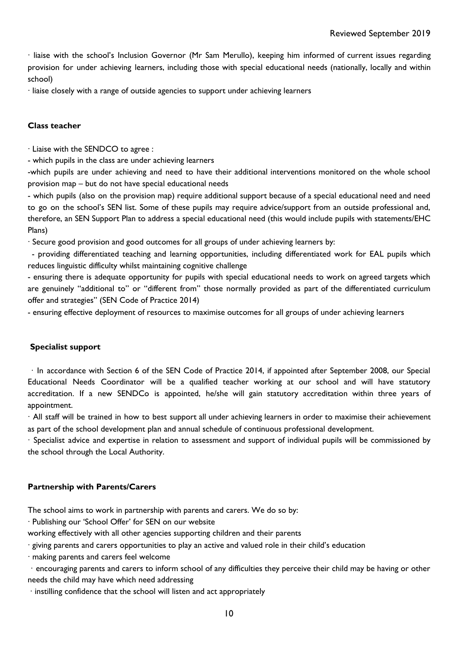· liaise with the school's Inclusion Governor (Mr Sam Merullo), keeping him informed of current issues regarding provision for under achieving learners, including those with special educational needs (nationally, locally and within school)

· liaise closely with a range of outside agencies to support under achieving learners

#### **Class teacher**

· Liaise with the SENDCO to agree :

- which pupils in the class are under achieving learners

-which pupils are under achieving and need to have their additional interventions monitored on the whole school provision map – but do not have special educational needs

- which pupils (also on the provision map) require additional support because of a special educational need and need to go on the school's SEN list. Some of these pupils may require advice/support from an outside professional and, therefore, an SEN Support Plan to address a special educational need (this would include pupils with statements/EHC Plans)

· Secure good provision and good outcomes for all groups of under achieving learners by:

- providing differentiated teaching and learning opportunities, including differentiated work for EAL pupils which reduces linguistic difficulty whilst maintaining cognitive challenge

- ensuring there is adequate opportunity for pupils with special educational needs to work on agreed targets which are genuinely "additional to" or "different from" those normally provided as part of the differentiated curriculum offer and strategies" (SEN Code of Practice 2014)

- ensuring effective deployment of resources to maximise outcomes for all groups of under achieving learners

#### **Specialist support**

· In accordance with Section 6 of the SEN Code of Practice 2014, if appointed after September 2008, our Special Educational Needs Coordinator will be a qualified teacher working at our school and will have statutory accreditation. If a new SENDCo is appointed, he/she will gain statutory accreditation within three years of appointment.

· All staff will be trained in how to best support all under achieving learners in order to maximise their achievement as part of the school development plan and annual schedule of continuous professional development.

· Specialist advice and expertise in relation to assessment and support of individual pupils will be commissioned by the school through the Local Authority.

#### **Partnership with Parents/Carers**

The school aims to work in partnership with parents and carers. We do so by:

· Publishing our 'School Offer' for SEN on our website

working effectively with all other agencies supporting children and their parents

· giving parents and carers opportunities to play an active and valued role in their child's education

· making parents and carers feel welcome

· encouraging parents and carers to inform school of any difficulties they perceive their child may be having or other needs the child may have which need addressing

· instilling confidence that the school will listen and act appropriately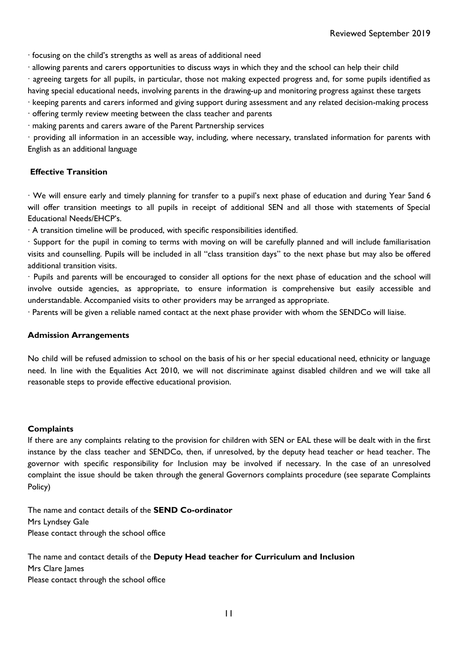· focusing on the child's strengths as well as areas of additional need

· allowing parents and carers opportunities to discuss ways in which they and the school can help their child

· agreeing targets for all pupils, in particular, those not making expected progress and, for some pupils identified as having special educational needs, involving parents in the drawing-up and monitoring progress against these targets

· keeping parents and carers informed and giving support during assessment and any related decision-making process

· offering termly review meeting between the class teacher and parents

· making parents and carers aware of the Parent Partnership services

· providing all information in an accessible way, including, where necessary, translated information for parents with English as an additional language

#### **Effective Transition**

· We will ensure early and timely planning for transfer to a pupil's next phase of education and during Year 5and 6 will offer transition meetings to all pupils in receipt of additional SEN and all those with statements of Special Educational Needs/EHCP's.

· A transition timeline will be produced, with specific responsibilities identified.

· Support for the pupil in coming to terms with moving on will be carefully planned and will include familiarisation visits and counselling. Pupils will be included in all "class transition days" to the next phase but may also be offered additional transition visits.

· Pupils and parents will be encouraged to consider all options for the next phase of education and the school will involve outside agencies, as appropriate, to ensure information is comprehensive but easily accessible and understandable. Accompanied visits to other providers may be arranged as appropriate.

· Parents will be given a reliable named contact at the next phase provider with whom the SENDCo will liaise.

#### **Admission Arrangements**

No child will be refused admission to school on the basis of his or her special educational need, ethnicity or language need. In line with the Equalities Act 2010, we will not discriminate against disabled children and we will take all reasonable steps to provide effective educational provision.

#### **Complaints**

If there are any complaints relating to the provision for children with SEN or EAL these will be dealt with in the first instance by the class teacher and SENDCo, then, if unresolved, by the deputy head teacher or head teacher. The governor with specific responsibility for Inclusion may be involved if necessary. In the case of an unresolved complaint the issue should be taken through the general Governors complaints procedure (see separate Complaints Policy)

The name and contact details of the **SEND Co-ordinator** Mrs Lyndsey Gale Please contact through the school office

The name and contact details of the **Deputy Head teacher for Curriculum and Inclusion** Mrs Clare James Please contact through the school office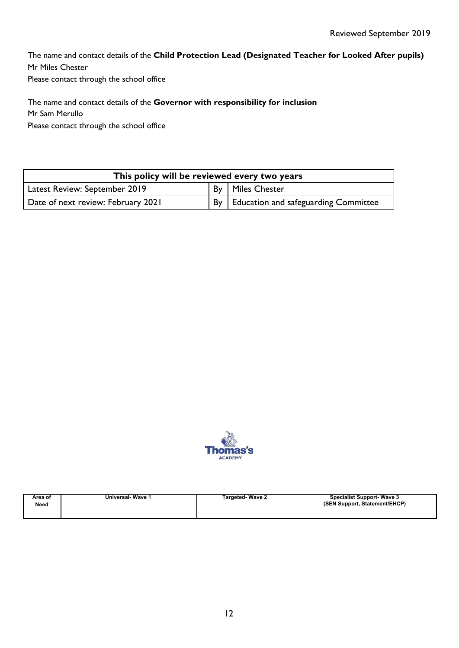The name and contact details of the **Child Protection Lead (Designated Teacher for Looked After pupils)** Mr Miles Chester Please contact through the school office

The name and contact details of the **Governor with responsibility for inclusion** Mr Sam Merullo Please contact through the school office

| This policy will be reviewed every two years |  |                                           |  |  |  |
|----------------------------------------------|--|-------------------------------------------|--|--|--|
| Latest Review: September 2019                |  | By   Miles Chester                        |  |  |  |
| Date of next review: February 2021           |  | By   Education and safeguarding Committee |  |  |  |



| Area of | <b>Universal-Wave 1</b> | <b>Targeted-Wave 2</b> | <b>Specialist Support-Wave 3</b> |
|---------|-------------------------|------------------------|----------------------------------|
| Need    |                         |                        | (SEN Support, Statement/EHCP)    |
|         |                         |                        |                                  |